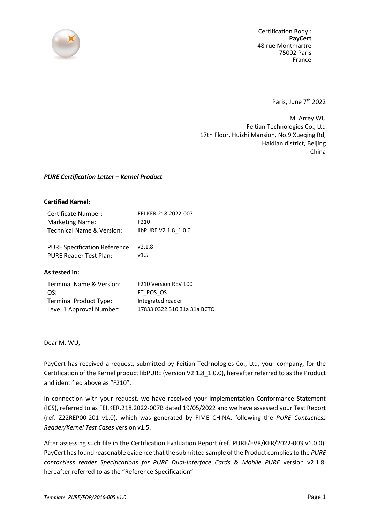

Certification Body : **PayCert** 48 rue Montmartre 75002 Paris France

Paris, June 7<sup>th</sup> 2022

M. Arrey WU Feitian Technologies Co., Ltd 17th Floor, Huizhi Mansion, No.9 Xueqing Rd, Haidian district, Beijing China

## *PURE Certification Letter – Kernel Product*

## **Certified Kernel:**

| Certificate Number:       | FEI.KER.218.2022-007 |
|---------------------------|----------------------|
| <b>Marketing Name:</b>    | F210                 |
| Technical Name & Version: | libPURE V2.1.8 1.0.0 |
|                           |                      |

PURE Specification Reference: v2.1.8 PURE Reader Test Plan: v1.5

## **As tested in:**

| F210 Version REV 100        |
|-----------------------------|
| FT POS OS                   |
| Integrated reader           |
| 17833 0322 310 31a 31a BCTC |
|                             |

Dear M. WU,

PayCert has received a request, submitted by Feitian Technologies Co., Ltd, your company, for the Certification of the Kernel product libPURE (version V2.1.8\_1.0.0), hereafter referred to as the Product and identified above as "F210".

In connection with your request, we have received your Implementation Conformance Statement (ICS), referred to as FEI.KER.218.2022-007B dated 19/05/2022 and we have assessed your Test Report (ref. Z22REP00-201 v1.0), which was generated by FIME CHINA, following the *PURE Contactless Reader/Kernel Test Cases* version v1.5.

After assessing such file in the Certification Evaluation Report (ref. PURE/EVR/KER/2022-003 v1.0.0), PayCert has found reasonable evidence that the submitted sample of the Product complies to the *PURE contactless reader Specifications for PURE Dual-Interface Cards & Mobile PURE* version v2.1.8, hereafter referred to as the "Reference Specification".